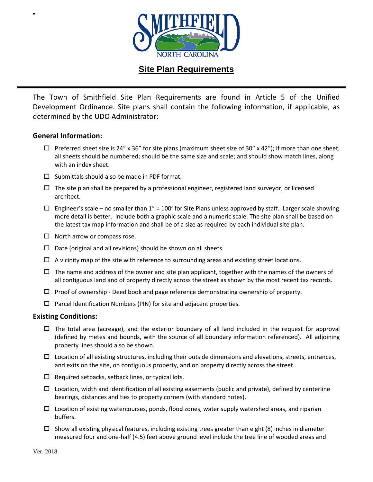

## **Site Plan Requirements**

The Town of Smithfield Site Plan Requirements are found in Article 5 of the Unified Development Ordinance. Site plans shall contain the following information, if applicable, as determined by the UDO Administrator:

## **General Information:**

- $\Box$  Preferred sheet size is 24" x 36" for site plans (maximum sheet size of 30" x 42"); if more than one sheet, all sheets should be numbered; should be the same size and scale; and should show match lines, along with an index sheet.
- $\square$  Submittals should also be made in PDF format.
- $\Box$  The site plan shall be prepared by a professional engineer, registered land surveyor, or licensed architect.
- $\Box$  Engineer's scale no smaller than 1" = 100' for Site Plans unless approved by staff. Larger scale showing more detail is better. Include both a graphic scale and a numeric scale. The site plan shall be based on the latest tax map information and shall be of a size as required by each individual site plan.
- $\Box$  North arrow or compass rose.
- $\square$  Date (original and all revisions) should be shown on all sheets.
- $\Box$  A vicinity map of the site with reference to surrounding areas and existing street locations.
- $\Box$  The name and address of the owner and site plan applicant, together with the names of the owners of all contiguous land and of property directly across the street as shown by the most recent tax records.
- $\Box$  Proof of ownership Deed book and page reference demonstrating ownership of property.
- $\Box$  Parcel Identification Numbers (PIN) for site and adjacent properties.

## **Existing Conditions:**

- $\Box$  The total area (acreage), and the exterior boundary of all land included in the request for approval (defined by metes and bounds, with the source of all boundary information referenced). All adjoining property lines should also be shown.
- $\Box$  Location of all existing structures, including their outside dimensions and elevations, streets, entrances, and exits on the site, on contiguous property, and on property directly across the street.
- $\Box$  Required setbacks, setback lines, or typical lots.
- $\Box$  Location, width and identification of all existing easements (public and private), defined by centerline bearings, distances and ties to property corners (with standard notes).
- $\Box$  Location of existing watercourses, ponds, flood zones, water supply watershed areas, and riparian buffers.
- $\Box$  Show all existing physical features, including existing trees greater than eight (8) inches in diameter measured four and one-half (4.5) feet above ground level include the tree line of wooded areas and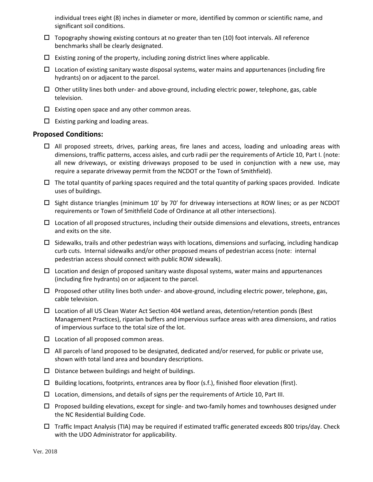individual trees eight (8) inches in diameter or more, identified by common or scientific name, and significant soil conditions.

- $\Box$  Topography showing existing contours at no greater than ten (10) foot intervals. All reference benchmarks shall be clearly designated.
- $\Box$  Existing zoning of the property, including zoning district lines where applicable.
- $\Box$  Location of existing sanitary waste disposal systems, water mains and appurtenances (including fire hydrants) on or adjacent to the parcel.
- $\Box$  Other utility lines both under- and above-ground, including electric power, telephone, gas, cable television.
- $\square$  Existing open space and any other common areas.
- $\Box$  Existing parking and loading areas.

## **Proposed Conditions:**

- $\Box$  All proposed streets, drives, parking areas, fire lanes and access, loading and unloading areas with dimensions, traffic patterns, access aisles, and curb radii per the requirements of Article 10, Part I. (note: all new driveways, or existing driveways proposed to be used in conjunction with a new use, may require a separate driveway permit from the NCDOT or the Town of Smithfield).
- $\Box$  The total quantity of parking spaces required and the total quantity of parking spaces provided. Indicate uses of buildings.
- $\Box$  Sight distance triangles (minimum 10' by 70' for driveway intersections at ROW lines; or as per NCDOT requirements or Town of Smithfield Code of Ordinance at all other intersections).
- $\Box$  Location of all proposed structures, including their outside dimensions and elevations, streets, entrances and exits on the site.
- $\Box$  Sidewalks, trails and other pedestrian ways with locations, dimensions and surfacing, including handicap curb cuts. Internal sidewalks and/or other proposed means of pedestrian access (note: internal pedestrian access should connect with public ROW sidewalk).
- $\Box$  Location and design of proposed sanitary waste disposal systems, water mains and appurtenances (including fire hydrants) on or adjacent to the parcel.
- $\Box$  Proposed other utility lines both under- and above-ground, including electric power, telephone, gas, cable television.
- $\Box$  Location of all US Clean Water Act Section 404 wetland areas, detention/retention ponds (Best Management Practices), riparian buffers and impervious surface areas with area dimensions, and ratios of impervious surface to the total size of the lot.
- $\square$  Location of all proposed common areas.
- $\Box$  All parcels of land proposed to be designated, dedicated and/or reserved, for public or private use, shown with total land area and boundary descriptions.
- $\square$  Distance between buildings and height of buildings.
- $\Box$  Building locations, footprints, entrances area by floor (s.f.), finished floor elevation (first).
- $\square$  Location, dimensions, and details of signs per the requirements of Article 10, Part III.
- $\Box$  Proposed building elevations, except for single- and two-family homes and townhouses designed under the NC Residential Building Code.
- $\Box$  Traffic Impact Analysis (TIA) may be required if estimated traffic generated exceeds 800 trips/day. Check with the UDO Administrator for applicability.